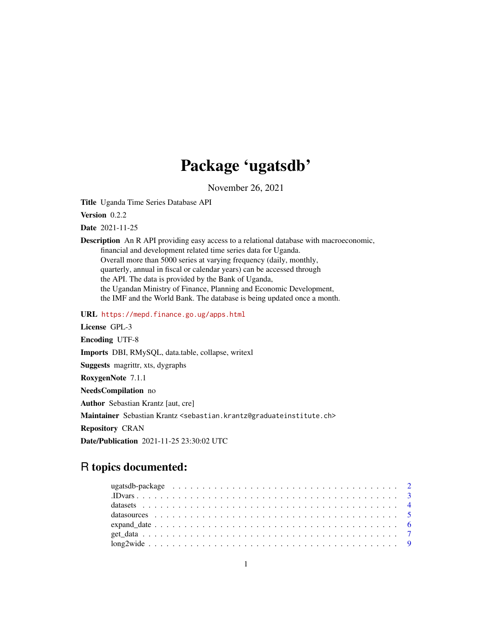## Package 'ugatsdb'

November 26, 2021

<span id="page-0-0"></span>Title Uganda Time Series Database API

Version 0.2.2

Date 2021-11-25

Description An R API providing easy access to a relational database with macroeconomic, financial and development related time series data for Uganda. Overall more than 5000 series at varying frequency (daily, monthly, quarterly, annual in fiscal or calendar years) can be accessed through the API. The data is provided by the Bank of Uganda, the Ugandan Ministry of Finance, Planning and Economic Development, the IMF and the World Bank. The database is being updated once a month.

URL <https://mepd.finance.go.ug/apps.html>

License GPL-3

Encoding UTF-8

Imports DBI, RMySQL, data.table, collapse, writexl

Suggests magrittr, xts, dygraphs

RoxygenNote 7.1.1

NeedsCompilation no

Author Sebastian Krantz [aut, cre]

Maintainer Sebastian Krantz <sebastian.krantz@graduateinstitute.ch>

Repository CRAN

Date/Publication 2021-11-25 23:30:02 UTC

## R topics documented: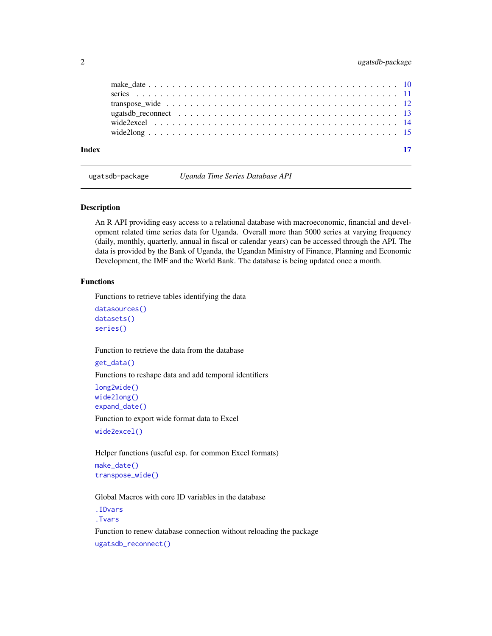<span id="page-1-0"></span>

| Index |  |
|-------|--|

ugatsdb-package *Uganda Time Series Database API*

#### <span id="page-1-1"></span>Description

An R API providing easy access to a relational database with macroeconomic, financial and development related time series data for Uganda. Overall more than 5000 series at varying frequency (daily, monthly, quarterly, annual in fiscal or calendar years) can be accessed through the API. The data is provided by the Bank of Uganda, the Ugandan Ministry of Finance, Planning and Economic Development, the IMF and the World Bank. The database is being updated once a month.

#### Functions

Functions to retrieve tables identifying the data

```
datasources()
datasets()
series()
```
Function to retrieve the data from the database

```
get_data()
Functions to reshape data and add temporal identifiers
long2wide()
wide2long()
expand_date()
```
Function to export wide format data to Excel

[wide2excel\(\)](#page-13-1)

Helper functions (useful esp. for common Excel formats) [make\\_date\(\)](#page-9-1) [transpose\\_wide\(\)](#page-11-1)

Global Macros with core ID variables in the database

[.IDvars](#page-2-1) [.Tvars](#page-2-2)

Function to renew database connection without reloading the package [ugatsdb\\_reconnect\(\)](#page-12-1)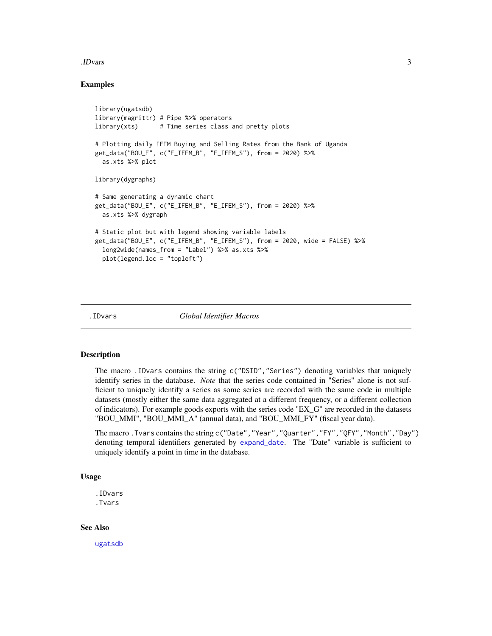#### <span id="page-2-0"></span>.IDvars 3

#### Examples

```
library(ugatsdb)
library(magrittr) # Pipe %>% operators
library(xts) # Time series class and pretty plots
# Plotting daily IFEM Buying and Selling Rates from the Bank of Uganda
get_data("BOU_E", c("E_IFEM_B", "E_IFEM_S"), from = 2020) %>%
 as.xts %>% plot
library(dygraphs)
# Same generating a dynamic chart
get_data("BOU_E", c("E_IFEM_B", "E_IFEM_S"), from = 2020) %>%
 as.xts %>% dygraph
# Static plot but with legend showing variable labels
get_data("BOU_E", c("E_IFEM_B", "E_IFEM_S"), from = 2020, wide = FALSE) %>%
 long2wide(names_from = "Label") %>% as.xts %>%
 plot(legend.loc = "topleft")
```
<span id="page-2-1"></span>

```
.IDvars Global Identifier Macros
```
#### <span id="page-2-2"></span>Description

The macro .IDvars contains the string c("DSID","Series") denoting variables that uniquely identify series in the database. *Note* that the series code contained in "Series" alone is not sufficient to uniquely identify a series as some series are recorded with the same code in multiple datasets (mostly either the same data aggregated at a different frequency, or a different collection of indicators). For example goods exports with the series code "EX\_G" are recorded in the datasets "BOU\_MMI", "BOU\_MMI\_A" (annual data), and "BOU\_MMI\_FY" (fiscal year data).

The macro .Tvars contains the string c("Date","Year","Quarter","FY","QFY","Month","Day") denoting temporal identifiers generated by [expand\\_date](#page-5-1). The "Date" variable is sufficient to uniquely identify a point in time in the database.

#### Usage

.IDvars .Tvars

#### See Also

[ugatsdb](#page-1-1)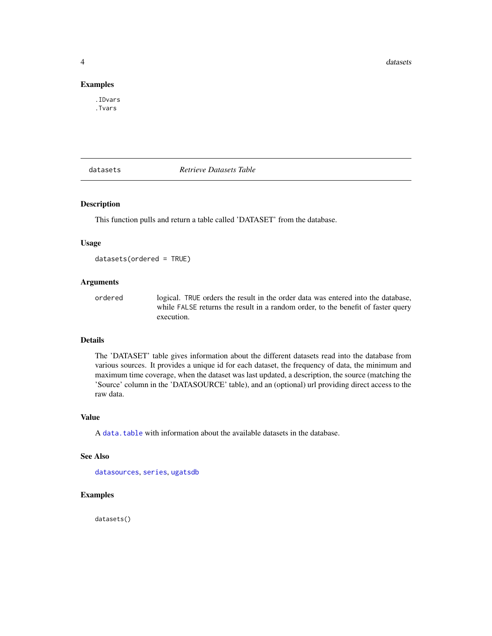<span id="page-3-0"></span>**4** datasets **distances distances in the contract of the contract of the contract of the contract of the contract of the contract of the contract of the contract of the contract of the contract of the contract of the con** 

#### Examples

.IDvars .Tvars

<span id="page-3-1"></span>

datasets *Retrieve Datasets Table*

#### Description

This function pulls and return a table called 'DATASET' from the database.

#### Usage

datasets(ordered = TRUE)

#### Arguments

ordered logical. TRUE orders the result in the order data was entered into the database, while FALSE returns the result in a random order, to the benefit of faster query execution.

#### Details

The 'DATASET' table gives information about the different datasets read into the database from various sources. It provides a unique id for each dataset, the frequency of data, the minimum and maximum time coverage, when the dataset was last updated, a description, the source (matching the 'Source' column in the 'DATASOURCE' table), and an (optional) url providing direct access to the raw data.

#### Value

A data, table with information about the available datasets in the database.

#### See Also

[datasources](#page-4-1), [series](#page-10-1), [ugatsdb](#page-1-1)

#### Examples

datasets()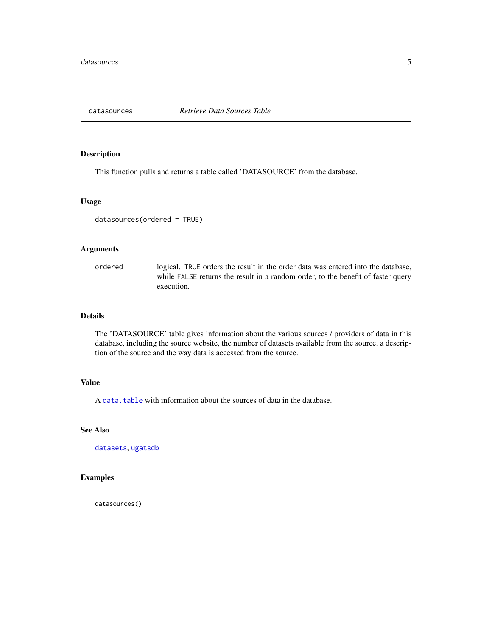<span id="page-4-1"></span><span id="page-4-0"></span>

This function pulls and returns a table called 'DATASOURCE' from the database.

#### Usage

```
datasources(ordered = TRUE)
```
#### Arguments

ordered logical. TRUE orders the result in the order data was entered into the database, while FALSE returns the result in a random order, to the benefit of faster query execution.

#### Details

The 'DATASOURCE' table gives information about the various sources / providers of data in this database, including the source website, the number of datasets available from the source, a description of the source and the way data is accessed from the source.

#### Value

A [data.table](#page-0-0) with information about the sources of data in the database.

#### See Also

[datasets](#page-3-1), [ugatsdb](#page-1-1)

#### Examples

datasources()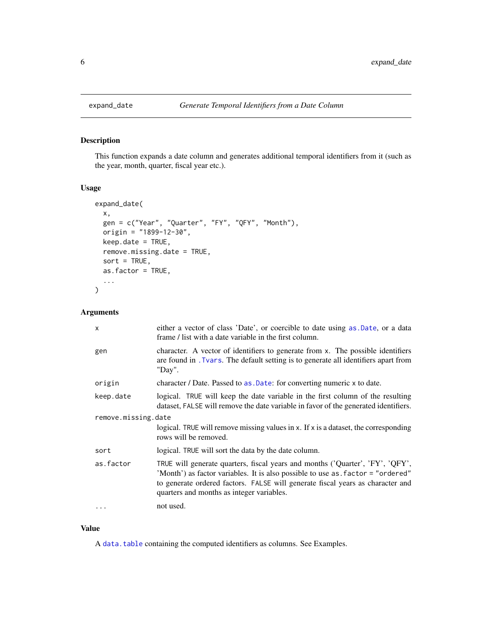<span id="page-5-1"></span><span id="page-5-0"></span>

This function expands a date column and generates additional temporal identifiers from it (such as the year, month, quarter, fiscal year etc.).

#### Usage

```
expand_date(
  x,
  gen = c("Year", "Quarter", "FY", "QFY", "Month"),
 origin = "1899-12-30",
 keep.date = TRUE,
  remove.missing.date = TRUE,
  sort = TRUE,as.factor = TRUE,
  ...
)
```
#### Arguments

| $\mathsf{x}$        | either a vector of class 'Date', or coercible to date using as Date, or a data<br>frame / list with a date variable in the first column.                                                                                                                                                         |
|---------------------|--------------------------------------------------------------------------------------------------------------------------------------------------------------------------------------------------------------------------------------------------------------------------------------------------|
| gen                 | character. A vector of identifiers to generate from x. The possible identifiers<br>are found in . Tvars. The default setting is to generate all identifiers apart from<br>"Day".                                                                                                                 |
| origin              | character / Date. Passed to as . Date: for converting numeric x to date.                                                                                                                                                                                                                         |
| keep.date           | logical. TRUE will keep the date variable in the first column of the resulting<br>dataset, FALSE will remove the date variable in favor of the generated identifiers.                                                                                                                            |
| remove.missing.date |                                                                                                                                                                                                                                                                                                  |
|                     | logical. TRUE will remove missing values in $x$ . If $x$ is a dataset, the corresponding<br>rows will be removed.                                                                                                                                                                                |
| sort                | logical. TRUE will sort the data by the date column.                                                                                                                                                                                                                                             |
| as.factor           | TRUE will generate quarters, fiscal years and months ('Quarter', 'FY', 'QFY',<br>'Month') as factor variables. It is also possible to use as . factor = "ordered"<br>to generate ordered factors. FALSE will generate fiscal years as character and<br>quarters and months as integer variables. |
| $\ddots$            | not used.                                                                                                                                                                                                                                                                                        |

#### Value

A [data.table](#page-0-0) containing the computed identifiers as columns. See Examples.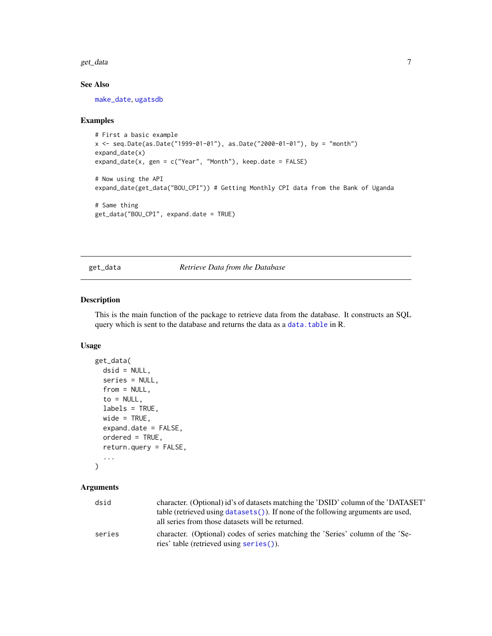<span id="page-6-0"></span>get\_data 7

#### See Also

[make\\_date](#page-9-1), [ugatsdb](#page-1-1)

#### Examples

```
# First a basic example
x <- seq.Date(as.Date("1999-01-01"), as.Date("2000-01-01"), by = "month")
expand_date(x)
expand_date(x, gen = c("Year", "Month"), keep.date = FALSE)
# Now using the API
expand_date(get_data("BOU_CPI")) # Getting Monthly CPI data from the Bank of Uganda
# Same thing
get_data("BOU_CPI", expand.date = TRUE)
```
<span id="page-6-1"></span>get\_data *Retrieve Data from the Database*

#### Description

This is the main function of the package to retrieve data from the database. It constructs an SQL query which is sent to the database and returns the data as a [data.table](#page-0-0) in R.

#### Usage

```
get_data(
  dsid = NULL,series = NULL,
  from = NULL,
  to = NULL,
  labels = TRUE,
 wide = TRUE,
  expand.date = FALSE,
  ordered = TRUE,
  return.query = FALSE,
  ...
)
```

| dsid   | character. (Optional) id's of datasets matching the 'DSID' column of the 'DATASET' |
|--------|------------------------------------------------------------------------------------|
|        | table (retrieved using datasets ()). If none of the following arguments are used,  |
|        | all series from those datasets will be returned.                                   |
| series | character. (Optional) codes of series matching the 'Series' column of the 'Se-     |
|        | ries' table (retrieved using series()).                                            |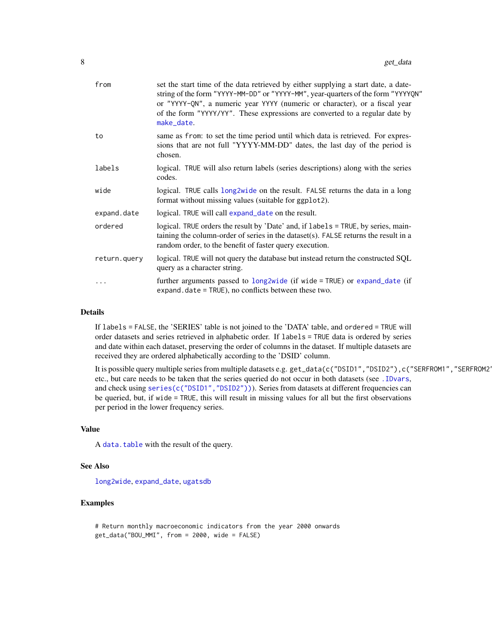<span id="page-7-0"></span>

| from         | set the start time of the data retrieved by either supplying a start date, a date-<br>string of the form "YYYY-MM-DD" or "YYYY-MM", year-quarters of the form "YYYYQN"<br>or "YYYY-QN", a numeric year YYYY (numeric or character), or a fiscal year<br>of the form "YYYY/YY". These expressions are converted to a regular date by<br>make_date. |
|--------------|---------------------------------------------------------------------------------------------------------------------------------------------------------------------------------------------------------------------------------------------------------------------------------------------------------------------------------------------------|
| to           | same as from: to set the time period until which data is retrieved. For expres-<br>sions that are not full "YYYY-MM-DD" dates, the last day of the period is<br>chosen.                                                                                                                                                                           |
| labels       | logical. TRUE will also return labels (series descriptions) along with the series<br>codes.                                                                                                                                                                                                                                                       |
| wide         | logical. TRUE calls long2wide on the result. FALSE returns the data in a long<br>format without missing values (suitable for ggplot2).                                                                                                                                                                                                            |
| expand.date  | logical. TRUE will call expand_date on the result.                                                                                                                                                                                                                                                                                                |
| ordered      | logical. TRUE orders the result by 'Date' and, if labels = TRUE, by series, main-<br>taining the column-order of series in the dataset $(s)$ . FALSE returns the result in a<br>random order, to the benefit of faster query execution.                                                                                                           |
| return.query | logical. TRUE will not query the database but instead return the constructed SQL<br>query as a character string.                                                                                                                                                                                                                                  |
| .            | further arguments passed to $long2wide$ (if wide = TRUE) or expand_date (if<br>expand. date = TRUE), no conflicts between these two.                                                                                                                                                                                                              |

#### Details

If labels = FALSE, the 'SERIES' table is not joined to the 'DATA' table, and ordered = TRUE will order datasets and series retrieved in alphabetic order. If labels = TRUE data is ordered by series and date within each dataset, preserving the order of columns in the dataset. If multiple datasets are received they are ordered alphabetically according to the 'DSID' column.

It is possible query multiple series from multiple datasets e.g. get\_data(c("DSID1","DSID2"),c("SERFROM1","SERFROM2")) etc., but care needs to be taken that the series queried do not occur in both datasets (see [.IDvars](#page-2-1), and check using series(c("DSID1", "DSID2"))). Series from datasets at different frequencies can be queried, but, if wide = TRUE, this will result in missing values for all but the first observations per period in the lower frequency series.

#### Value

A [data.table](#page-0-0) with the result of the query.

#### See Also

[long2wide](#page-8-1), [expand\\_date](#page-5-1), [ugatsdb](#page-1-1)

#### Examples

```
# Return monthly macroeconomic indicators from the year 2000 onwards
get_data("BOU_MMI", from = 2000, wide = FALSE)
```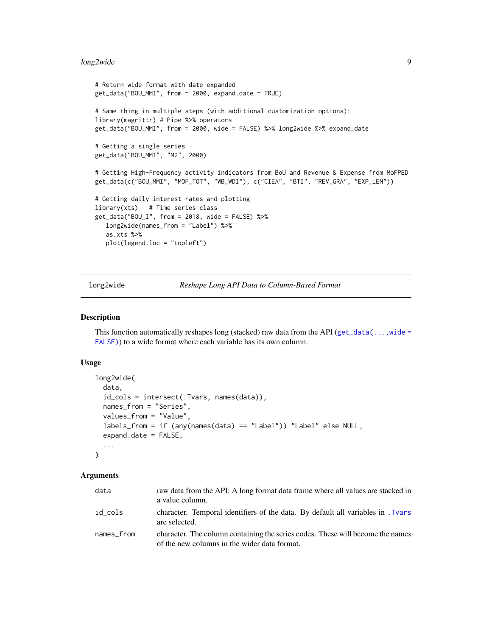#### <span id="page-8-0"></span>long2wide 9

```
# Return wide format with date expanded
get_data("BOU_MMI", from = 2000, expand.date = TRUE)
# Same thing in multiple steps (with additional customization options):
library(magrittr) # Pipe %>% operators
get_data("BOU_MMI", from = 2000, wide = FALSE) %>% long2wide %>% expand_date
# Getting a single series
get_data("BOU_MMI", "M2", 2000)
# Getting High-Frequency activity indicators from BoU and Revenue & Expense from MoFPED
get_data(c("BOU_MMI", "MOF_TOT", "WB_WDI"), c("CIEA", "BTI", "REV_GRA", "EXP_LEN"))
# Getting daily interest rates and plotting
library(xts) # Time series class
get_data("BOU_I", from = 2018, wide = FALSE) %>%
  long2wide(names_from = "Label") %>%
  as.xts %>%
  plot(legend.loc = "topleft")
```
<span id="page-8-1"></span>long2wide *Reshape Long API Data to Column-Based Format*

#### Description

This function automatically reshapes long (stacked) raw data from the API (get\_data( $\dots$ , wide = [FALSE\)](#page-6-1)) to a wide format where each variable has its own column.

#### Usage

```
long2wide(
  data,
  id_cols = intersect(.Tvars, names(data)),
  names_from = "Series",
  values_from = "Value",
  labels_from = if (any(names(data) == "Label")) "Label" else NULL,
  expand.date = FALSE,
  ...
\mathcal{E}
```

| data       | raw data from the API: A long format data frame where all values are stacked in<br>a value column.                             |
|------------|--------------------------------------------------------------------------------------------------------------------------------|
| id cols    | character. Temporal identifiers of the data. By default all variables in . Tyars<br>are selected.                              |
| names from | character. The column containing the series codes. These will become the names<br>of the new columns in the wider data format. |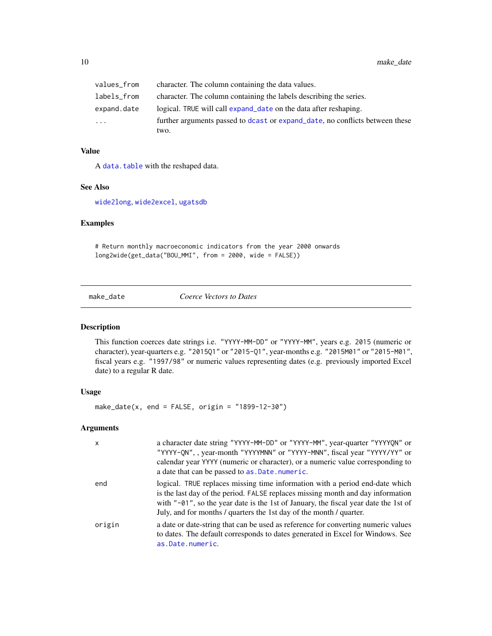<span id="page-9-0"></span>

| values_from | character. The column containing the data values.                            |
|-------------|------------------------------------------------------------------------------|
| labels_from | character. The column containing the labels describing the series.           |
| expand.date | logical. TRUE will call expand date on the data after reshaping.             |
| $\cdots$    | further arguments passed to dcast or expand date, no conflicts between these |
|             | two.                                                                         |

#### Value

A [data.table](#page-0-0) with the reshaped data.

#### See Also

[wide2long](#page-14-1), [wide2excel](#page-13-1), [ugatsdb](#page-1-1)

#### Examples

# Return monthly macroeconomic indicators from the year 2000 onwards long2wide(get\_data("BOU\_MMI", from = 2000, wide = FALSE))

<span id="page-9-1"></span>make\_date *Coerce Vectors to Dates*

#### Description

This function coerces date strings i.e. "YYYY-MM-DD" or "YYYY-MM", years e.g. 2015 (numeric or character), year-quarters e.g. "2015Q1" or "2015-Q1", year-months e.g. "2015M01" or "2015-M01", fiscal years e.g. "1997/98" or numeric values representing dates (e.g. previously imported Excel date) to a regular R date.

#### Usage

make\_date(x, end = FALSE, origin =  $"1899-12-30"$ )

| $\mathsf{x}$ | a character date string "YYYY-MM-DD" or "YYYY-MM", year-quarter "YYYYQN" or<br>"YYYY-QN", , year-month "YYYYMNN" or "YYYY-MNN", fiscal year "YYYY/YY" or<br>calendar year YYYY (numeric or character), or a numeric value corresponding to<br>a date that can be passed to as. Date. numeric.                                 |
|--------------|-------------------------------------------------------------------------------------------------------------------------------------------------------------------------------------------------------------------------------------------------------------------------------------------------------------------------------|
| end          | logical. TRUE replaces missing time information with a period end-date which<br>is the last day of the period. FALSE replaces missing month and day information<br>with "-01", so the year date is the 1st of January, the fiscal year date the 1st of<br>July, and for months / quarters the 1st day of the month / quarter. |
| origin       | a date or date-string that can be used as reference for converting numeric values<br>to dates. The default corresponds to dates generated in Excel for Windows. See<br>as.Date.numeric.                                                                                                                                       |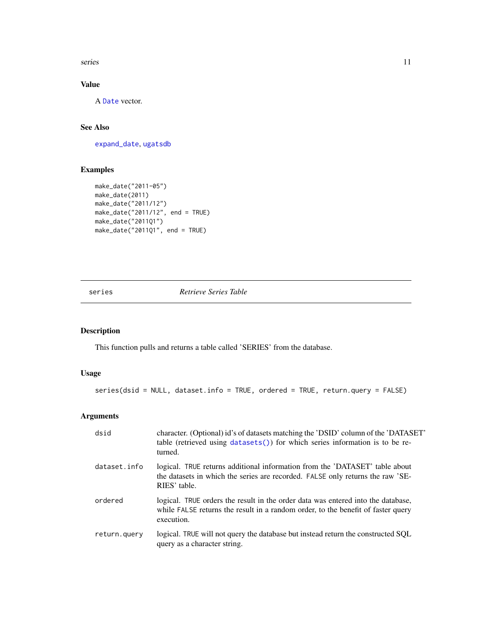<span id="page-10-0"></span>series and the series of the series of the series of the series of the series of the series of the series of the series of the series of the series of the series of the series of the series of the series of the series of t

#### Value

A [Date](#page-0-0) vector.

#### See Also

[expand\\_date](#page-5-1), [ugatsdb](#page-1-1)

#### Examples

```
make_date("2011-05")
make_date(2011)
make_date("2011/12")
make_date("2011/12", end = TRUE)
make_date("2011Q1")
make_date("2011Q1", end = TRUE)
```
<span id="page-10-1"></span>series *Retrieve Series Table*

#### Description

This function pulls and returns a table called 'SERIES' from the database.

#### Usage

```
series(dsid = NULL, dataset.info = TRUE, ordered = TRUE, return.query = FALSE)
```

| dsid         | character. (Optional) id's of datasets matching the 'DSID' column of the 'DATASET'<br>table (retrieved using datasets()) for which series information is to be re-<br>turned.      |
|--------------|------------------------------------------------------------------------------------------------------------------------------------------------------------------------------------|
| dataset.info | logical. TRUE returns additional information from the 'DATASET' table about<br>the datasets in which the series are recorded. FALSE only returns the raw 'SE-<br>RIES' table.      |
| ordered      | logical. TRUE orders the result in the order data was entered into the database,<br>while FALSE returns the result in a random order, to the benefit of faster query<br>execution. |
| return.guery | logical. TRUE will not query the database but instead return the constructed SQL<br>query as a character string.                                                                   |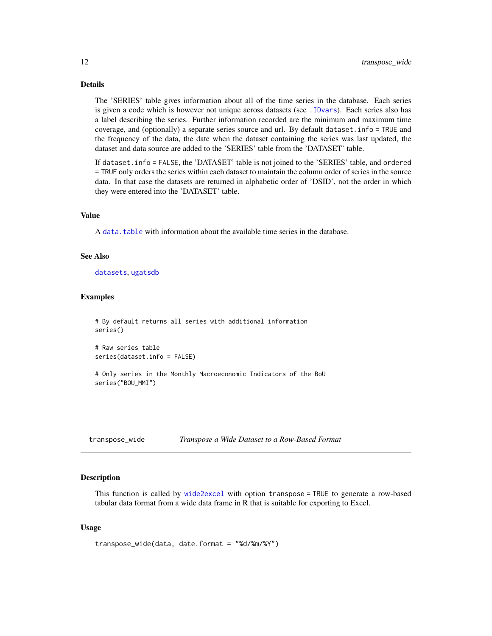#### <span id="page-11-0"></span>Details

The 'SERIES' table gives information about all of the time series in the database. Each series is given a code which is however not unique across datasets (see [.IDvars](#page-2-1)). Each series also has a label describing the series. Further information recorded are the minimum and maximum time coverage, and (optionally) a separate series source and url. By default dataset.info = TRUE and the frequency of the data, the date when the dataset containing the series was last updated, the dataset and data source are added to the 'SERIES' table from the 'DATASET' table.

If dataset.info = FALSE, the 'DATASET' table is not joined to the 'SERIES' table, and ordered = TRUE only orders the series within each dataset to maintain the column order of series in the source data. In that case the datasets are returned in alphabetic order of 'DSID', not the order in which they were entered into the 'DATASET' table.

#### Value

A [data.table](#page-0-0) with information about the available time series in the database.

#### See Also

[datasets](#page-3-1), [ugatsdb](#page-1-1)

#### Examples

```
# By default returns all series with additional information
series()
```

```
# Raw series table
series(dataset.info = FALSE)
```
# Only series in the Monthly Macroeconomic Indicators of the BoU series("BOU\_MMI")

<span id="page-11-1"></span>transpose\_wide *Transpose a Wide Dataset to a Row-Based Format*

#### Description

This function is called by [wide2excel](#page-13-1) with option transpose = TRUE to generate a row-based tabular data format from a wide data frame in R that is suitable for exporting to Excel.

#### Usage

```
transpose_wide(data, date.format = "%d/%m/%Y")
```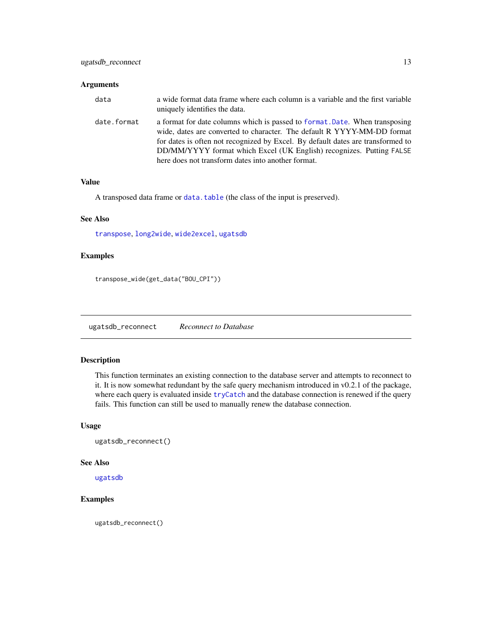#### <span id="page-12-0"></span>Arguments

| data        | a wide format data frame where each column is a variable and the first variable<br>uniquely identifies the data.                                                                                                                                                                                                                                                        |
|-------------|-------------------------------------------------------------------------------------------------------------------------------------------------------------------------------------------------------------------------------------------------------------------------------------------------------------------------------------------------------------------------|
| date.format | a format for date columns which is passed to format. Date. When transposing<br>wide, dates are converted to character. The default R YYYY-MM-DD format<br>for dates is often not recognized by Excel. By default dates are transformed to<br>DD/MM/YYYY format which Excel (UK English) recognizes. Putting FALSE<br>here does not transform dates into another format. |

#### Value

A transposed data frame or [data.table](#page-0-0) (the class of the input is preserved).

#### See Also

[transpose](#page-0-0), [long2wide](#page-8-1), [wide2excel](#page-13-1), [ugatsdb](#page-1-1)

#### Examples

transpose\_wide(get\_data("BOU\_CPI"))

<span id="page-12-1"></span>ugatsdb\_reconnect *Reconnect to Database*

#### Description

This function terminates an existing connection to the database server and attempts to reconnect to it. It is now somewhat redundant by the safe query mechanism introduced in v0.2.1 of the package, where each query is evaluated inside [tryCatch](#page-0-0) and the database connection is renewed if the query fails. This function can still be used to manually renew the database connection.

#### Usage

ugatsdb\_reconnect()

#### See Also

[ugatsdb](#page-1-1)

#### Examples

ugatsdb\_reconnect()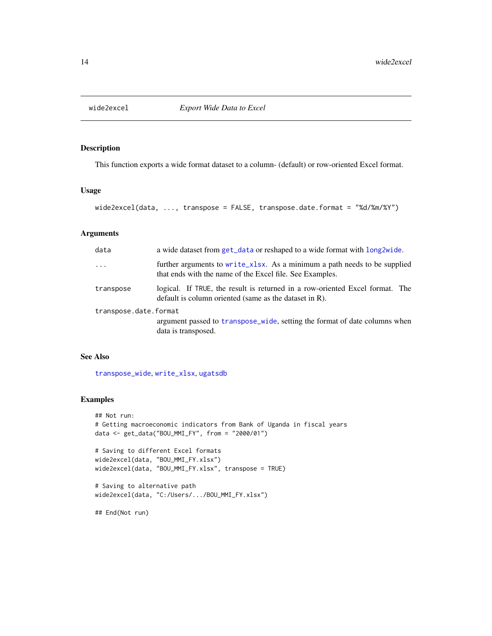<span id="page-13-1"></span><span id="page-13-0"></span>

This function exports a wide format dataset to a column- (default) or row-oriented Excel format.

#### Usage

```
wide2excel(data, ..., transpose = FALSE, transpose.date.format = "%d/%m/%Y")
```
#### Arguments

| data                  | a wide dataset from get_data or reshaped to a wide format with long2wide.                                                                 |  |
|-----------------------|-------------------------------------------------------------------------------------------------------------------------------------------|--|
| $\cdots$              | further arguments to write_xlsx. As a minimum a path needs to be supplied<br>that ends with the name of the Excel file. See Examples.     |  |
| transpose             | logical. If TRUE, the result is returned in a row-oriented Excel format. The<br>default is column oriented (same as the dataset in $R$ ). |  |
| transpose.date.format |                                                                                                                                           |  |
|                       | argument passed to transpose_wide, setting the format of date columns when<br>data is transposed.                                         |  |

#### See Also

[transpose\\_wide](#page-11-1), [write\\_xlsx](#page-0-0), [ugatsdb](#page-1-1)

#### Examples

```
## Not run:
# Getting macroeconomic indicators from Bank of Uganda in fiscal years
data <- get_data("BOU_MMI_FY", from = "2000/01")
# Saving to different Excel formats
wide2excel(data, "BOU_MMI_FY.xlsx")
wide2excel(data, "BOU_MMI_FY.xlsx", transpose = TRUE)
# Saving to alternative path
```

```
wide2excel(data, "C:/Users/.../BOU_MMI_FY.xlsx")
```
## End(Not run)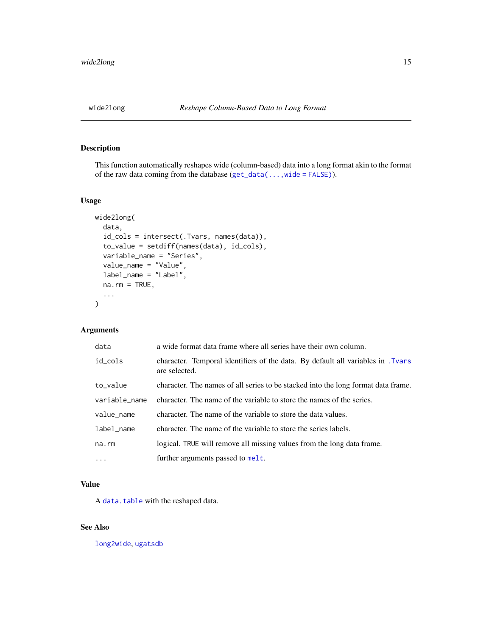<span id="page-14-1"></span><span id="page-14-0"></span>

This function automatically reshapes wide (column-based) data into a long format akin to the format of the raw data coming from the database  $(\text{get\_data}(\dots, \text{wide} = \text{FALSE}))$ .

#### Usage

```
wide2long(
  data,
  id_cols = intersect(.Tvars, names(data)),
  to_value = setdiff(names(data), id_cols),
  variable_name = "Series",
  value_name = "Value",
  label_name = "Label",
  na.rm = TRUE,...
)
```
#### Arguments

| data          | a wide format data frame where all series have their own column.                                |
|---------------|-------------------------------------------------------------------------------------------------|
| id_cols       | character. Temporal identifiers of the data. By default all variables in Tyars<br>are selected. |
| to_value      | character. The names of all series to be stacked into the long format data frame.               |
| variable_name | character. The name of the variable to store the names of the series.                           |
| value_name    | character. The name of the variable to store the data values.                                   |
| label_name    | character. The name of the variable to store the series labels.                                 |
| na.rm         | logical. TRUE will remove all missing values from the long data frame.                          |
| $\ddots$      | further arguments passed to melt.                                                               |

#### Value

A [data.table](#page-0-0) with the reshaped data.

#### See Also

[long2wide](#page-8-1), [ugatsdb](#page-1-1)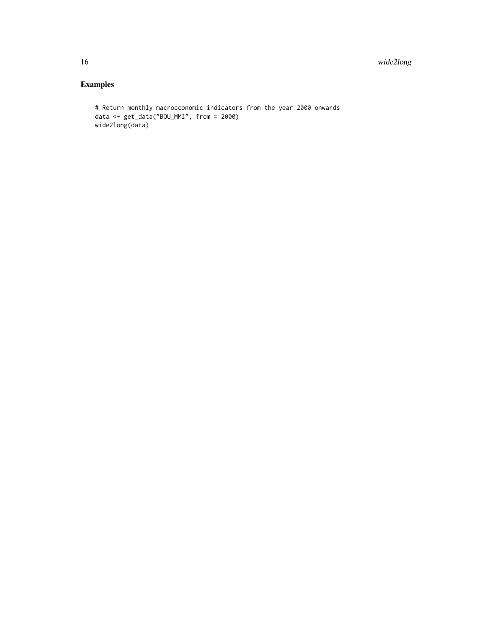### Examples

```
# Return monthly macroeconomic indicators from the year 2000 onwards
data <- get_data("BOU_MMI", from = 2000)
wide2long(data)
```